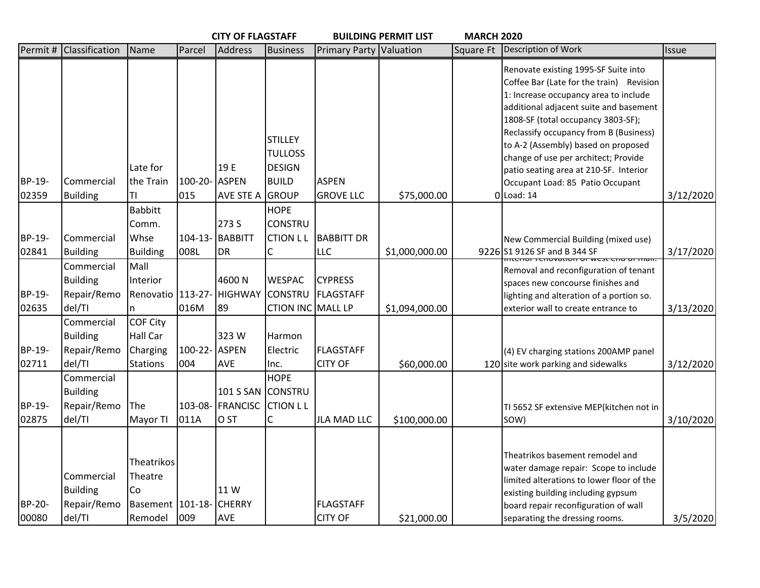|                 |                                                        |                                                                     |                      | <b>CITY OF FLAGSTAFF</b>              |                                                       |                                    | <b>BUILDING PERMIT LIST</b> | <b>MARCH 2020</b> |                                                                                                                                                                                                                                                                                                                                                                              |           |
|-----------------|--------------------------------------------------------|---------------------------------------------------------------------|----------------------|---------------------------------------|-------------------------------------------------------|------------------------------------|-----------------------------|-------------------|------------------------------------------------------------------------------------------------------------------------------------------------------------------------------------------------------------------------------------------------------------------------------------------------------------------------------------------------------------------------------|-----------|
| Permit#         | Classification                                         | Name                                                                | Parcel               | <b>Address</b>                        | <b>Business</b>                                       | Primary Party Valuation            |                             | Square Ft         | Description of Work                                                                                                                                                                                                                                                                                                                                                          | Issue     |
|                 |                                                        | Late for                                                            |                      | 19 E                                  | <b>STILLEY</b><br><b>TULLOSS</b><br><b>DESIGN</b>     |                                    |                             |                   | Renovate existing 1995-SF Suite into<br>Coffee Bar (Late for the train) Revision<br>1: Increase occupancy area to include<br>additional adjacent suite and basement<br>1808-SF (total occupancy 3803-SF);<br>Reclassify occupancy from B (Business)<br>to A-2 (Assembly) based on proposed<br>change of use per architect; Provide<br>patio seating area at 210-SF. Interior |           |
| BP-19-          | Commercial                                             | the Train                                                           | 100-20- ASPEN        |                                       | <b>BUILD</b>                                          | <b>ASPEN</b>                       |                             |                   | Occupant Load: 85 Patio Occupant                                                                                                                                                                                                                                                                                                                                             |           |
| 02359           | <b>Building</b>                                        | IΤΙ                                                                 | 015                  | AVE STE A GROUP                       |                                                       | <b>GROVE LLC</b>                   | \$75,000.00                 |                   | $0$ Load: 14                                                                                                                                                                                                                                                                                                                                                                 | 3/12/2020 |
| BP-19-<br>02841 | Commercial<br><b>Building</b>                          | <b>Babbitt</b><br>Comm.<br>Whse<br><b>Building</b>                  | $104 - 13 -$<br>008L | 273 S<br><b>BABBITT</b><br>DR         | <b>HOPE</b><br><b>CONSTRU</b><br><b>CTION LL</b>      | <b>BABBITT DR</b><br><b>LLC</b>    | \$1,000,000.00              |                   | New Commercial Building (mixed use)<br>9226 S1 9126 SF and B 344 SF                                                                                                                                                                                                                                                                                                          | 3/17/2020 |
| BP-19-<br>02635 | Commercial<br><b>Building</b><br>Repair/Remo<br>del/TI | Mall<br>Interior<br>Renovatio   113-27- HIGHWAY<br>n                | 016M                 | 4600N<br>89                           | <b>WESPAC</b><br><b>CONSTRU</b><br>CTION INC MALL LP  | <b>CYPRESS</b><br>FLAGSTAFF        | \$1,094,000.00              |                   | Removal and reconfiguration of tenant<br>spaces new concourse finishes and<br>lighting and alteration of a portion so.<br>exterior wall to create entrance to                                                                                                                                                                                                                | 3/13/2020 |
| BP-19-<br>02711 | Commercial<br><b>Building</b><br>Repair/Remo<br>del/TI | COF City<br>Hall Car<br>Charging<br>Stations                        | 100-22- ASPEN<br>004 | 323W<br>AVE                           | Harmon<br>Electric<br>Inc.                            | <b>FLAGSTAFF</b><br><b>CITY OF</b> | \$60,000.00                 |                   | (4) EV charging stations 200AMP panel<br>120 site work parking and sidewalks                                                                                                                                                                                                                                                                                                 | 3/12/2020 |
| BP-19-<br>02875 | Commercial<br><b>Building</b><br>Repair/Remo<br>del/TI | The<br>Mayor TI                                                     | 011A                 | 101 S SAN<br>103-08- FRANCISC<br>O ST | <b>HOPE</b><br><b>CONSTRU</b><br><b>CTION LL</b><br>C | <b>JLA MAD LLC</b>                 | \$100,000.00                |                   | TI 5652 SF extensive MEP(kitchen not in<br>SOW)                                                                                                                                                                                                                                                                                                                              | 3/10/2020 |
| BP-20-<br>00080 | Commercial<br><b>Building</b><br>Repair/Remo<br>del/TI | Theatrikos<br>Theatre<br>Co<br>Basement   101-18- CHERRY<br>Remodel | 009                  | 11 W<br>AVE                           |                                                       | <b>FLAGSTAFF</b><br><b>CITY OF</b> | \$21,000.00                 |                   | Theatrikos basement remodel and<br>water damage repair: Scope to include<br>limited alterations to lower floor of the<br>existing building including gypsum<br>board repair reconfiguration of wall<br>separating the dressing rooms.                                                                                                                                        | 3/5/2020  |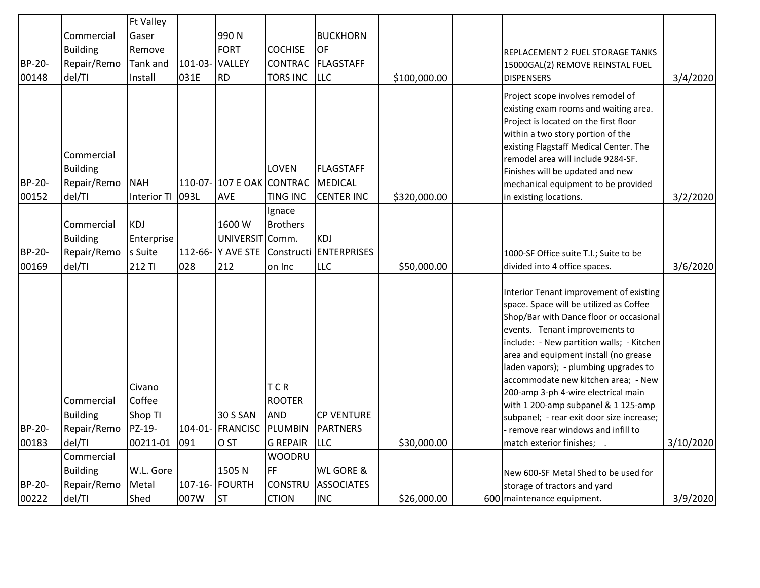|                 |                                                        | <b>Ft Valley</b>                                  |                |                                         |                                                                         |                                                    |              |                                                                                                                                                                                                                                                                                                                                                                                                                                                                                                                                     |           |
|-----------------|--------------------------------------------------------|---------------------------------------------------|----------------|-----------------------------------------|-------------------------------------------------------------------------|----------------------------------------------------|--------------|-------------------------------------------------------------------------------------------------------------------------------------------------------------------------------------------------------------------------------------------------------------------------------------------------------------------------------------------------------------------------------------------------------------------------------------------------------------------------------------------------------------------------------------|-----------|
|                 | Commercial                                             | Gaser                                             |                | 990N                                    |                                                                         | <b>BUCKHORN</b>                                    |              |                                                                                                                                                                                                                                                                                                                                                                                                                                                                                                                                     |           |
|                 | <b>Building</b>                                        | Remove                                            |                | <b>FORT</b>                             | <b>COCHISE</b>                                                          | lof                                                |              | REPLACEMENT 2 FUEL STORAGE TANKS                                                                                                                                                                                                                                                                                                                                                                                                                                                                                                    |           |
| BP-20-          | Repair/Remo                                            | <b>Tank and</b>                                   | 101-03- VALLEY |                                         | CONTRAC                                                                 | FLAGSTAFF                                          |              | 15000GAL(2) REMOVE REINSTAL FUEL                                                                                                                                                                                                                                                                                                                                                                                                                                                                                                    |           |
| 00148           | del/TI                                                 | Install                                           | 031E           | <b>RD</b>                               | <b>TORS INC</b>                                                         | <b>LLC</b>                                         | \$100,000.00 | <b>DISPENSERS</b>                                                                                                                                                                                                                                                                                                                                                                                                                                                                                                                   | 3/4/2020  |
| BP-20-<br>00152 | Commercial<br><b>Building</b><br>Repair/Remo<br>del/TI | <b>NAH</b><br><b>Interior TI</b>                  | 093L           | 110-07- 107 E OAK CONTRAC<br><b>AVE</b> | LOVEN<br><b>TING INC</b>                                                | <b>FLAGSTAFF</b><br>MEDICAL<br><b>CENTER INC</b>   | \$320,000.00 | Project scope involves remodel of<br>existing exam rooms and waiting area.<br>Project is located on the first floor<br>within a two story portion of the<br>existing Flagstaff Medical Center. The<br>remodel area will include 9284-SF.<br>Finishes will be updated and new<br>mechanical equipment to be provided<br>in existing locations.                                                                                                                                                                                       | 3/2/2020  |
|                 |                                                        |                                                   |                |                                         | Ignace                                                                  |                                                    |              |                                                                                                                                                                                                                                                                                                                                                                                                                                                                                                                                     |           |
|                 | Commercial                                             | <b>KDJ</b>                                        |                | 1600W                                   | <b>Brothers</b>                                                         |                                                    |              |                                                                                                                                                                                                                                                                                                                                                                                                                                                                                                                                     |           |
|                 | <b>Building</b>                                        | Enterprise                                        |                | UNIVERSIT Comm.                         |                                                                         | <b>KDJ</b>                                         |              |                                                                                                                                                                                                                                                                                                                                                                                                                                                                                                                                     |           |
| BP-20-          | Repair/Remo                                            | s Suite                                           |                | 112-66- Y AVE STE                       |                                                                         | Constructi ENTERPRISES                             |              | 1000-SF Office suite T.I.; Suite to be                                                                                                                                                                                                                                                                                                                                                                                                                                                                                              |           |
| 00169           | del/TI                                                 | 212 TI                                            | 028            | 212                                     | on Inc                                                                  | <b>LLC</b>                                         | \$50,000.00  | divided into 4 office spaces.                                                                                                                                                                                                                                                                                                                                                                                                                                                                                                       | 3/6/2020  |
| BP-20-<br>00183 | Commercial<br><b>Building</b><br>Repair/Remo<br>del/TI | Civano<br>Coffee<br>Shop TI<br>PZ-19-<br>00211-01 | 091            | 30 S SAN<br>104-01- FRANCISC<br>O ST    | <b>TCR</b><br><b>ROOTER</b><br><b>AND</b><br>PLUMBIN<br><b>G REPAIR</b> | <b>CP VENTURE</b><br><b>PARTNERS</b><br><b>LLC</b> | \$30,000.00  | Interior Tenant improvement of existing<br>space. Space will be utilized as Coffee<br>Shop/Bar with Dance floor or occasional<br>events. Tenant improvements to<br>include: - New partition walls; - Kitchen<br>area and equipment install (no grease<br>laden vapors); - plumbing upgrades to<br>accommodate new kitchen area; - New<br>200-amp 3-ph 4-wire electrical main<br>with 1 200-amp subpanel & 1 125-amp<br>subpanel; - rear exit door size increase;<br>remove rear windows and infill to<br>match exterior finishes; . | 3/10/2020 |
|                 | Commercial                                             |                                                   |                |                                         | <b>WOODRU</b>                                                           |                                                    |              |                                                                                                                                                                                                                                                                                                                                                                                                                                                                                                                                     |           |
|                 | <b>Building</b>                                        | W.L. Gore                                         |                | 1505N                                   | FF.                                                                     | <b>WL GORE &amp;</b>                               |              | <b>INew 600-SF Metal Shed to be used for</b>                                                                                                                                                                                                                                                                                                                                                                                                                                                                                        |           |
| BP-20-          | Repair/Remo                                            | Metal                                             |                | 107-16- FOURTH                          | CONSTRU                                                                 | <b>ASSOCIATES</b>                                  |              | storage of tractors and yard                                                                                                                                                                                                                                                                                                                                                                                                                                                                                                        |           |
| 00222           | del/TI                                                 | Shed                                              | 007W           | <b>ST</b>                               | <b>CTION</b>                                                            | <b>INC</b>                                         | \$26,000.00  | 600 maintenance equipment.                                                                                                                                                                                                                                                                                                                                                                                                                                                                                                          | 3/9/2020  |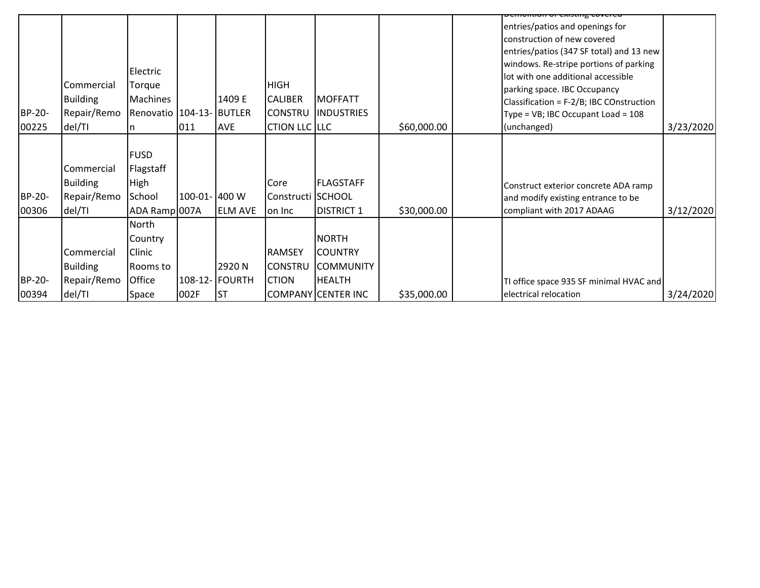| BP-20-<br>00225 | Commercial<br><b>Building</b><br>Repair/Remo<br>del/TI | Electric<br>Torque<br>Machines<br>Renovatio   104-13- BUTLER<br>n  | 011           | 1409 E<br><b>AVE</b>                 | <b>HIGH</b><br><b>CALIBER</b><br><b>CONSTRU</b><br>CTION LLC LLC | <b>MOFFATT</b><br><b>INDUSTRIES</b>                                                 | \$60,000.00 | entries/patios and openings for<br>construction of new covered<br>entries/patios (347 SF total) and 13 new<br>windows. Re-stripe portions of parking<br>lot with one additional accessible<br>parking space. IBC Occupancy<br>Classification = F-2/B; IBC COnstruction<br>Type = VB; IBC Occupant Load = 108<br>(unchanged) | 3/23/2020 |
|-----------------|--------------------------------------------------------|--------------------------------------------------------------------|---------------|--------------------------------------|------------------------------------------------------------------|-------------------------------------------------------------------------------------|-------------|-----------------------------------------------------------------------------------------------------------------------------------------------------------------------------------------------------------------------------------------------------------------------------------------------------------------------------|-----------|
| BP-20-<br>00306 | Commercial<br><b>Building</b><br>Repair/Remo<br>del/TI | <b>FUSD</b><br>Flagstaff<br><b>High</b><br>School<br>ADA Ramp 007A | 100-01- 400 W | <b>ELM AVE</b>                       | Core<br>Constructi SCHOOL<br>on Inc                              | <b>FLAGSTAFF</b><br><b>DISTRICT 1</b>                                               | \$30,000.00 | Construct exterior concrete ADA ramp<br>and modify existing entrance to be<br>compliant with 2017 ADAAG                                                                                                                                                                                                                     | 3/12/2020 |
| BP-20-<br>00394 | Commercial<br><b>Building</b><br>Repair/Remo<br>del/TI | North<br>Country<br>Clinic<br>Rooms to<br>Office<br>Space          | 002F          | 2920N<br>108-12- FOURTH<br><b>ST</b> | <b>RAMSEY</b><br><b>CONSTRU</b><br><b>CTION</b>                  | <b>NORTH</b><br>ICOUNTRY<br><b>COMMUNITY</b><br><b>HEALTH</b><br>COMPANY CENTER INC | \$35,000.00 | TI office space 935 SF minimal HVAC and<br>electrical relocation                                                                                                                                                                                                                                                            | 3/24/2020 |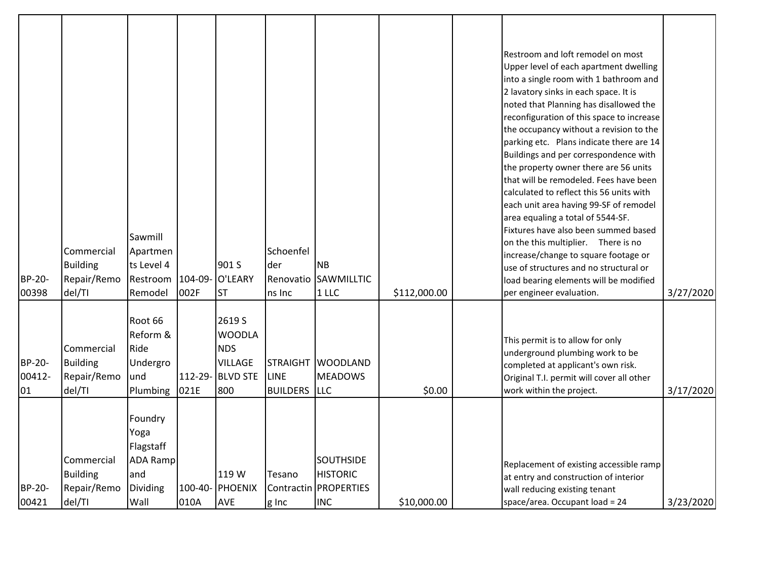| BP-20-<br>00398        | Commercial<br><b>Building</b><br>Repair/Remo<br>del/TI | Sawmill<br>Apartmen<br>ts Level 4<br>Restroom<br>Remodel                   | 104-09-<br>002F | 901 S<br>O'LEARY<br><b>ST</b>                                                      | Schoenfel<br>der<br>ns Inc                            | <b>NB</b><br>Renovatio SAWMILLTIC<br>1LLC                                    | \$112,000.00 | Restroom and loft remodel on most<br>Upper level of each apartment dwelling<br>into a single room with 1 bathroom and<br>2 lavatory sinks in each space. It is<br>noted that Planning has disallowed the<br>reconfiguration of this space to increase<br>the occupancy without a revision to the<br>parking etc. Plans indicate there are 14<br>Buildings and per correspondence with<br>the property owner there are 56 units<br>that will be remodeled. Fees have been<br>calculated to reflect this 56 units with<br>each unit area having 99-SF of remodel<br>area equaling a total of 5544-SF.<br>Fixtures have also been summed based<br>on the this multiplier. There is no<br>increase/change to square footage or<br>use of structures and no structural or<br>load bearing elements will be modified<br>per engineer evaluation. | 3/27/2020 |
|------------------------|--------------------------------------------------------|----------------------------------------------------------------------------|-----------------|------------------------------------------------------------------------------------|-------------------------------------------------------|------------------------------------------------------------------------------|--------------|--------------------------------------------------------------------------------------------------------------------------------------------------------------------------------------------------------------------------------------------------------------------------------------------------------------------------------------------------------------------------------------------------------------------------------------------------------------------------------------------------------------------------------------------------------------------------------------------------------------------------------------------------------------------------------------------------------------------------------------------------------------------------------------------------------------------------------------------|-----------|
| BP-20-<br>00412-<br>01 | Commercial<br><b>Building</b><br>Repair/Remo<br>del/TI | Root 66<br>Reform &<br>Ride<br>Undergro<br>und<br>Plumbing                 | 021E            | 2619 S<br><b>WOODLA</b><br><b>NDS</b><br><b>VILLAGE</b><br>112-29- BLVD STE<br>800 | <b>STRAIGHT</b><br><b>LINE</b><br><b>BUILDERS</b> LLC | <b>WOODLAND</b><br><b>MEADOWS</b>                                            | \$0.00       | This permit is to allow for only<br>underground plumbing work to be<br>completed at applicant's own risk.<br>Original T.I. permit will cover all other<br>work within the project.                                                                                                                                                                                                                                                                                                                                                                                                                                                                                                                                                                                                                                                         | 3/17/2020 |
| <b>BP-20-</b><br>00421 | Commercial<br><b>Building</b><br>Repair/Remo<br>del/TI | Foundry<br>Yoga<br>Flagstaff<br><b>ADA Ramp</b><br>and<br>Dividing<br>Wall | 010A            | 119 W<br>100-40- PHOENIX<br>AVE                                                    | Tesano<br>g Inc                                       | <b>SOUTHSIDE</b><br><b>HISTORIC</b><br>Contractin   PROPERTIES<br><b>INC</b> | \$10,000.00  | Replacement of existing accessible ramp<br>at entry and construction of interior<br>wall reducing existing tenant<br>space/area. Occupant load = 24                                                                                                                                                                                                                                                                                                                                                                                                                                                                                                                                                                                                                                                                                        | 3/23/2020 |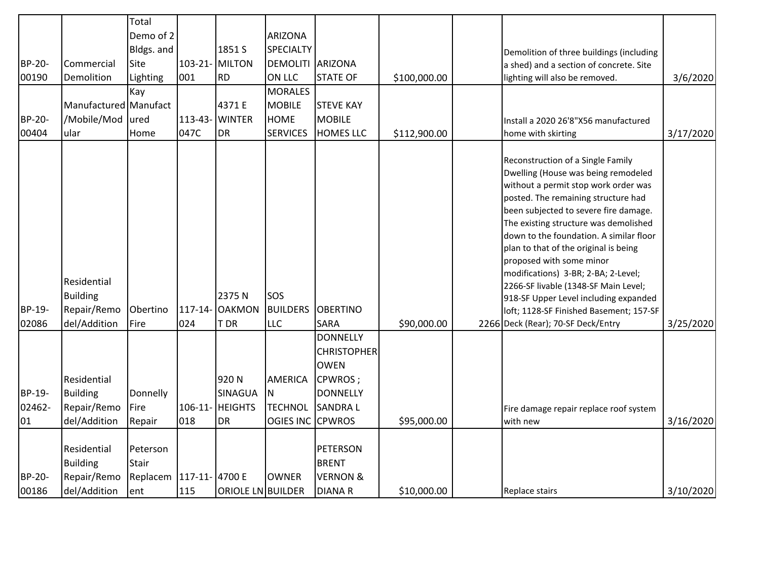|                 |                                                        | Total                                                 |         |                                       |                                      |                                                                             |              |                                                                                                                                                                                                                                                                                                                                                                                                                                                                                                                                                                    |           |
|-----------------|--------------------------------------------------------|-------------------------------------------------------|---------|---------------------------------------|--------------------------------------|-----------------------------------------------------------------------------|--------------|--------------------------------------------------------------------------------------------------------------------------------------------------------------------------------------------------------------------------------------------------------------------------------------------------------------------------------------------------------------------------------------------------------------------------------------------------------------------------------------------------------------------------------------------------------------------|-----------|
|                 |                                                        | Demo of 2                                             |         |                                       |                                      |                                                                             |              |                                                                                                                                                                                                                                                                                                                                                                                                                                                                                                                                                                    |           |
|                 |                                                        |                                                       |         |                                       | ARIZONA                              |                                                                             |              |                                                                                                                                                                                                                                                                                                                                                                                                                                                                                                                                                                    |           |
|                 |                                                        | Bldgs. and                                            |         | 1851 S                                | SPECIALTY                            |                                                                             |              | Demolition of three buildings (including                                                                                                                                                                                                                                                                                                                                                                                                                                                                                                                           |           |
| BP-20-          | Commercial                                             | Site                                                  |         | 103-21- MILTON                        | DEMOLITI ARIZONA                     |                                                                             |              | a shed) and a section of concrete. Site                                                                                                                                                                                                                                                                                                                                                                                                                                                                                                                            |           |
| 00190           | Demolition                                             | Lighting                                              | 001     | RD <sup></sup>                        | ON LLC                               | <b>STATE OF</b>                                                             | \$100,000.00 | lighting will also be removed.                                                                                                                                                                                                                                                                                                                                                                                                                                                                                                                                     | 3/6/2020  |
|                 |                                                        | Kay                                                   |         |                                       | <b>MORALES</b>                       |                                                                             |              |                                                                                                                                                                                                                                                                                                                                                                                                                                                                                                                                                                    |           |
|                 | Manufactured Manufact                                  |                                                       |         | 4371 E                                | <b>MOBILE</b>                        | <b>STEVE KAY</b>                                                            |              |                                                                                                                                                                                                                                                                                                                                                                                                                                                                                                                                                                    |           |
| BP-20-          | /Mobile/Mod                                            | ured                                                  | 113-43- | <b>WINTER</b>                         | <b>HOME</b>                          | <b>MOBILE</b>                                                               |              | Install a 2020 26'8"X56 manufactured                                                                                                                                                                                                                                                                                                                                                                                                                                                                                                                               |           |
| 00404           | ular                                                   | Home                                                  | 047C    | DR                                    | <b>SERVICES</b>                      | <b>HOMES LLC</b>                                                            | \$112,900.00 | home with skirting                                                                                                                                                                                                                                                                                                                                                                                                                                                                                                                                                 | 3/17/2020 |
| BP-19-<br>02086 | Residential<br>Building<br>Repair/Remo<br>del/Addition | Obertino<br>Fire                                      | 024     | 2375N<br>117-14- OAKMON<br><b>TDR</b> | SOS<br><b>BUILDERS</b><br><b>LLC</b> | <b>OBERTINO</b><br><b>SARA</b>                                              | \$90,000.00  | Reconstruction of a Single Family<br>Dwelling (House was being remodeled<br>without a permit stop work order was<br>posted. The remaining structure had<br>been subjected to severe fire damage.<br>The existing structure was demolished<br>down to the foundation. A similar floor<br>plan to that of the original is being<br>proposed with some minor<br>modifications) 3-BR; 2-BA; 2-Level;<br>2266-SF livable (1348-SF Main Level;<br>918-SF Upper Level including expanded<br>loft; 1128-SF Finished Basement; 157-SF<br>2266 Deck (Rear); 70-SF Deck/Entry | 3/25/2020 |
| BP-19-          | Residential<br>Building                                | Donnelly                                              |         | 920N<br>SINAGUA                       | <b>AMERICA</b><br>N.                 | <b>DONNELLY</b><br><b>CHRISTOPHER</b><br><b>OWEN</b><br>CPWROS;<br>DONNELLY |              |                                                                                                                                                                                                                                                                                                                                                                                                                                                                                                                                                                    |           |
| 02462-          | Repair/Remo                                            | Fire                                                  |         | 106-11- HEIGHTS                       | <b>TECHNOL</b>                       | <b>SANDRAL</b>                                                              |              | Fire damage repair replace roof system                                                                                                                                                                                                                                                                                                                                                                                                                                                                                                                             |           |
| 01              | del/Addition                                           | Repair                                                | 018     | <b>DR</b>                             | OGIES INC CPWROS                     |                                                                             | \$95,000.00  | with new                                                                                                                                                                                                                                                                                                                                                                                                                                                                                                                                                           | 3/16/2020 |
| BP-20-          | Residential<br>Building<br>Repair/Remo                 | Peterson<br><b>Stair</b><br>Replacem   117-11- 4700 E |         |                                       | <b>OWNER</b>                         | <b>PETERSON</b><br><b>BRENT</b><br><b>VERNON &amp;</b>                      |              |                                                                                                                                                                                                                                                                                                                                                                                                                                                                                                                                                                    |           |
| 00186           | del/Addition                                           | ent                                                   | 115     | ORIOLE LN BUILDER                     |                                      | <b>DIANAR</b>                                                               | \$10,000.00  | Replace stairs                                                                                                                                                                                                                                                                                                                                                                                                                                                                                                                                                     | 3/10/2020 |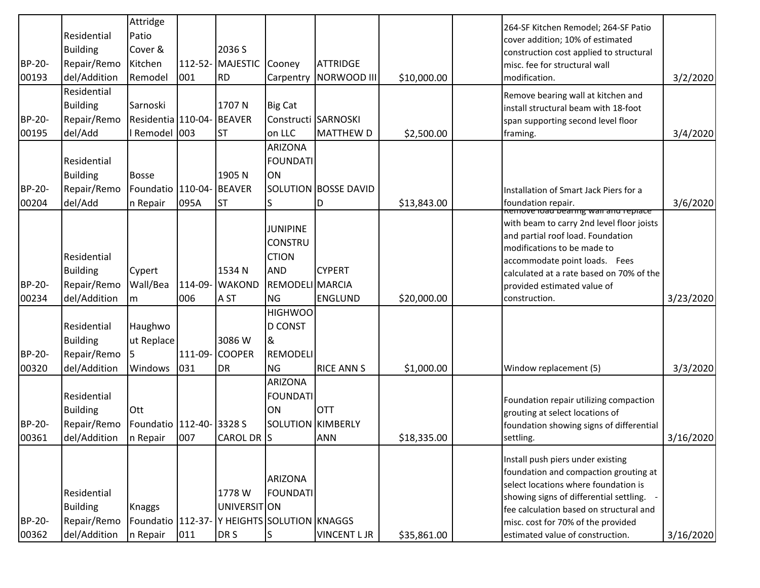|               |                 | Attridge                                      |               |                 |                          |                      |             | 264-SF Kitchen Remodel; 264-SF Patio                                                     |           |
|---------------|-----------------|-----------------------------------------------|---------------|-----------------|--------------------------|----------------------|-------------|------------------------------------------------------------------------------------------|-----------|
|               | Residential     | Patio                                         |               |                 |                          |                      |             | cover addition; 10% of estimated                                                         |           |
|               | <b>Building</b> | Cover &                                       |               | 2036 S          |                          |                      |             | construction cost applied to structural                                                  |           |
| <b>BP-20-</b> | Repair/Remo     | Kitchen                                       |               | 112-52-MAJESTIC | Cooney                   | <b>ATTRIDGE</b>      |             | misc. fee for structural wall                                                            |           |
| 00193         | del/Addition    | Remodel                                       | 001           | <b>RD</b>       | Carpentry                | NORWOOD III          | \$10,000.00 | modification.                                                                            | 3/2/2020  |
|               | Residential     |                                               |               |                 |                          |                      |             | Remove bearing wall at kitchen and                                                       |           |
|               | <b>Building</b> | Sarnoski                                      |               | 1707N           | <b>Big Cat</b>           |                      |             | install structural beam with 18-foot                                                     |           |
| BP-20-        | Repair/Remo     | Residentia 110-04-                            |               | <b>BEAVER</b>   |                          | Constructi SARNOSKI  |             | span supporting second level floor                                                       |           |
| 00195         | del/Add         | I Remodel 003                                 |               | lst             | on LLC                   | <b>MATTHEW D</b>     | \$2,500.00  | framing.                                                                                 | 3/4/2020  |
|               |                 |                                               |               |                 | <b>ARIZONA</b>           |                      |             |                                                                                          |           |
|               | Residential     |                                               |               |                 | <b>FOUNDATI</b>          |                      |             |                                                                                          |           |
|               | <b>Building</b> | <b>Bosse</b>                                  |               | 1905N           | ON                       |                      |             |                                                                                          |           |
| BP-20-        | Repair/Remo     | Foundatio                                     | 110-04-       | BEAVER          |                          | SOLUTION BOSSE DAVID |             | Installation of Smart Jack Piers for a                                                   |           |
| 00204         | del/Add         | n Repair                                      | 095A          | <b>ST</b>       | S                        | D                    | \$13,843.00 | foundation repair.                                                                       | 3/6/2020  |
|               |                 |                                               |               |                 |                          |                      |             | <u>Remove idad bearing wall and replace</u><br>with beam to carry 2nd level floor joists |           |
|               |                 |                                               |               |                 | <b>JUNIPINE</b>          |                      |             | and partial roof load. Foundation                                                        |           |
|               |                 |                                               |               |                 | <b>CONSTRU</b>           |                      |             | modifications to be made to                                                              |           |
|               | Residential     |                                               |               |                 | <b>CTION</b>             |                      |             | accommodate point loads. Fees                                                            |           |
|               | <b>Building</b> | Cypert                                        |               | 1534 N          | <b>AND</b>               | <b>CYPERT</b>        |             | calculated at a rate based on 70% of the                                                 |           |
| BP-20-        | Repair/Remo     | Wall/Bea                                      |               | 114-09- WAKOND  | <b>REMODELI MARCIA</b>   |                      |             | provided estimated value of                                                              |           |
| 00234         | del/Addition    | m                                             | 006           | A ST            | <b>NG</b>                | <b>ENGLUND</b>       | \$20,000.00 | construction.                                                                            | 3/23/2020 |
|               |                 |                                               |               |                 | <b>HIGHWOO</b>           |                      |             |                                                                                          |           |
|               | Residential     | Haughwo                                       |               |                 | <b>D CONST</b>           |                      |             |                                                                                          |           |
|               | <b>Building</b> | ut Replace                                    |               | 3086 W          | &                        |                      |             |                                                                                          |           |
| BP-20-        | Repair/Remo     |                                               |               | 111-09- COOPER  | <b>REMODELI</b>          |                      |             |                                                                                          |           |
| 00320         | del/Addition    | Windows                                       | 031           | <b>DR</b>       | <b>NG</b>                | <b>RICE ANN S</b>    | \$1,000.00  | Window replacement (5)                                                                   | 3/3/2020  |
|               |                 |                                               |               |                 | ARIZONA                  |                      |             |                                                                                          |           |
|               | Residential     |                                               |               |                 | <b>FOUNDATI</b>          |                      |             | Foundation repair utilizing compaction                                                   |           |
|               | <b>Building</b> | Ott                                           |               |                 | ON                       | <b>OTT</b>           |             | grouting at select locations of                                                          |           |
| BP-20-        | Repair/Remo     | Foundatio                                     | 112-40-3328 S |                 | <b>SOLUTION KIMBERLY</b> |                      |             | foundation showing signs of differential                                                 |           |
| 00361         | del/Addition    | In Repair                                     | 007           | CAROL DR S      |                          | <b>ANN</b>           | \$18,335.00 | settling.                                                                                | 3/16/2020 |
|               |                 |                                               |               |                 |                          |                      |             | Install push piers under existing                                                        |           |
|               |                 |                                               |               |                 |                          |                      |             | foundation and compaction grouting at                                                    |           |
|               |                 |                                               |               |                 | <b>ARIZONA</b>           |                      |             | select locations where foundation is                                                     |           |
|               | Residential     |                                               |               | 1778 W          | <b>FOUNDATI</b>          |                      |             | showing signs of differential settling.                                                  |           |
|               | <b>Building</b> | <b>Knaggs</b>                                 |               | UNIVERSIT ON    |                          |                      |             | fee calculation based on structural and                                                  |           |
| BP-20-        | Repair/Remo     | Foundatio   112-37- Y HEIGHTS SOLUTION KNAGGS |               |                 |                          |                      |             | misc. cost for 70% of the provided                                                       |           |
| 00362         | del/Addition    | n Repair                                      | 011           | DR S            | lS.                      | <b>VINCENT L JR</b>  | \$35,861.00 | estimated value of construction.                                                         | 3/16/2020 |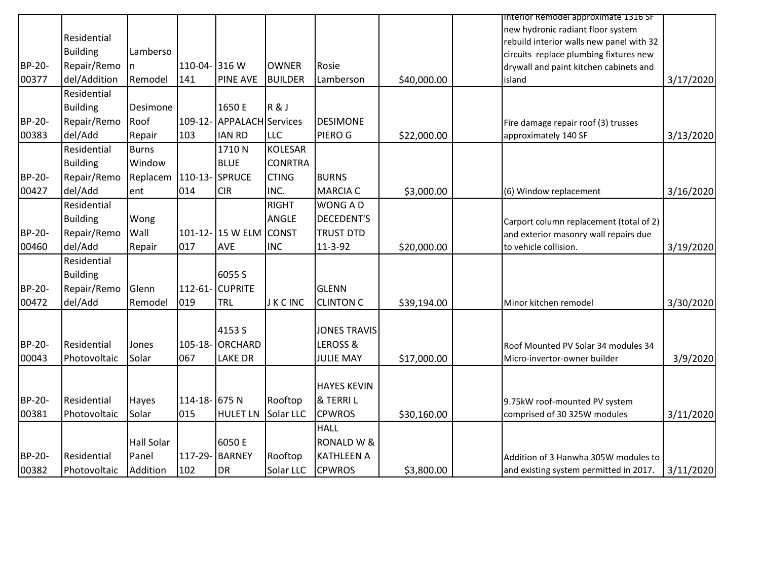|        |                 |              |               |                          |                |                       |             | Interior Remodel approximate 1316 SF                |
|--------|-----------------|--------------|---------------|--------------------------|----------------|-----------------------|-------------|-----------------------------------------------------|
|        |                 |              |               |                          |                |                       |             | new hydronic radiant floor system                   |
|        | Residential     |              |               |                          |                |                       |             | rebuild interior walls new panel with 32            |
|        | <b>Building</b> | Lamberso     |               |                          |                |                       |             | circuits replace plumbing fixtures new              |
| BP-20- | Repair/Remo     | <sub>n</sub> | 110-04- 316 W |                          | <b>OWNER</b>   | Rosie                 |             | drywall and paint kitchen cabinets and              |
| 00377  | del/Addition    | Remodel      | 141           | <b>PINE AVE</b>          | <b>BUILDER</b> | Lamberson             | \$40,000.00 | 3/17/2020<br>island                                 |
|        | Residential     |              |               |                          |                |                       |             |                                                     |
|        | <b>Building</b> | Desimone     |               | 1650 E                   | R&J            |                       |             |                                                     |
| BP-20- | Repair/Remo     | Roof         | $109-12-$     | <b>APPALACH</b> Services |                | <b>DESIMONE</b>       |             | Fire damage repair roof (3) trusses                 |
| 00383  | del/Add         | Repair       | 103           | <b>IAN RD</b>            | <b>LLC</b>     | PIERO G               | \$22,000.00 | 3/13/2020<br>approximately 140 SF                   |
|        | Residential     | <b>Burns</b> |               | 1710N                    | <b>KOLESAR</b> |                       |             |                                                     |
|        | <b>Building</b> | Window       |               | <b>BLUE</b>              | <b>CONRTRA</b> |                       |             |                                                     |
| BP-20- | Repair/Remo     | Replacem     | 110-13-       | SPRUCE                   | <b>CTING</b>   | <b>BURNS</b>          |             |                                                     |
| 00427  | del/Add         | ent          | 014           | <b>CIR</b>               | INC.           | <b>MARCIA C</b>       | \$3,000.00  | 3/16/2020<br>(6) Window replacement                 |
|        | Residential     |              |               |                          | <b>RIGHT</b>   | <b>WONG AD</b>        |             |                                                     |
|        | <b>Building</b> | Wong         |               |                          | ANGLE          | <b>DECEDENT'S</b>     |             | Carport column replacement (total of 2)             |
| BP-20- | Repair/Remo     | Wall         |               | 101-12-15 W ELM          | <b>CONST</b>   | <b>TRUST DTD</b>      |             | and exterior masonry wall repairs due               |
| 00460  | del/Add         | Repair       | 017           | <b>AVE</b>               | <b>INC</b>     | 11-3-92               | \$20,000.00 | 3/19/2020<br>to vehicle collision.                  |
|        | Residential     |              |               |                          |                |                       |             |                                                     |
|        | <b>Building</b> |              |               | 6055 S                   |                |                       |             |                                                     |
| BP-20- | Repair/Remo     | Glenn        | $112 - 61 -$  | <b>CUPRITE</b>           |                | <b>GLENN</b>          |             |                                                     |
| 00472  | del/Add         | Remodel      | 019           | TRL                      | <b>JKCINC</b>  | <b>CLINTON C</b>      | \$39,194.00 | 3/30/2020<br>Minor kitchen remodel                  |
|        |                 |              |               |                          |                |                       |             |                                                     |
|        |                 |              |               | 4153 S                   |                | <b>JONES TRAVIS</b>   |             |                                                     |
| BP-20- | Residential     | Jones        |               | 105-18-ORCHARD           |                | LEROSS &              |             | Roof Mounted PV Solar 34 modules 34                 |
| 00043  | Photovoltaic    | Solar        | 067           | <b>LAKE DR</b>           |                | <b>JULIE MAY</b>      | \$17,000.00 | 3/9/2020<br>Micro-invertor-owner builder            |
|        |                 |              |               |                          |                |                       |             |                                                     |
|        |                 |              |               |                          |                | <b>HAYES KEVIN</b>    |             |                                                     |
| BP-20- | Residential     | Hayes        | 114-18- 675 N |                          | Rooftop        | & TERRIL              |             |                                                     |
|        |                 |              |               |                          |                |                       |             | 9.75kW roof-mounted PV system                       |
| 00381  | Photovoltaic    | Solar        | 015           | <b>HULET LN</b>          | Solar LLC      | <b>CPWROS</b>         | \$30,160.00 | comprised of 30 325W modules<br>3/11/2020           |
|        |                 |              |               |                          |                | <b>HALL</b>           |             |                                                     |
|        |                 | Hall Solar   |               | 6050 E                   |                | <b>RONALD W &amp;</b> |             |                                                     |
| BP-20- | Residential     | Panel        | 117-29-       | <b>BARNEY</b>            | Rooftop        | <b>KATHLEEN A</b>     |             | Addition of 3 Hanwha 305W modules to                |
| 00382  | Photovoltaic    | Addition     | 102           | DR                       | Solar LLC      | <b>CPWROS</b>         | \$3,800.00  | 3/11/2020<br>and existing system permitted in 2017. |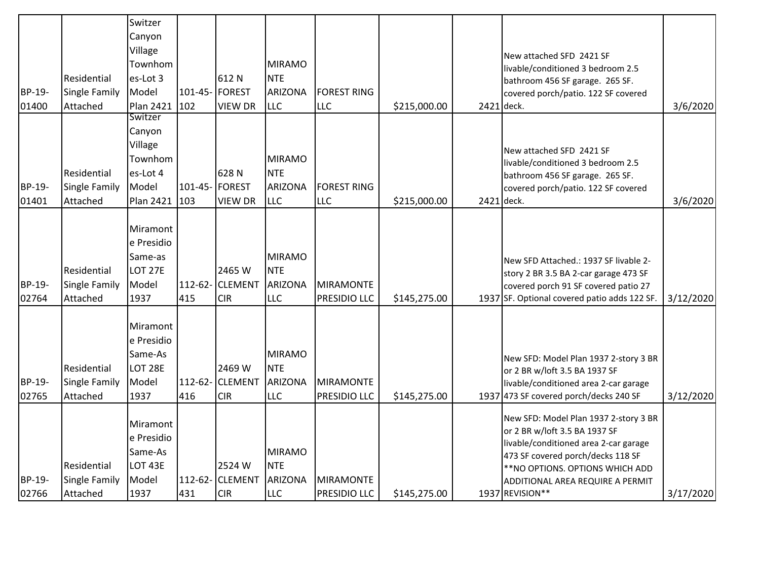|                 |                                                 | Switzer<br>Canyon<br>Village                                         |                |                                        |                                                             |                                  |              |            |                                                                                                                                                                                                                                                 |           |
|-----------------|-------------------------------------------------|----------------------------------------------------------------------|----------------|----------------------------------------|-------------------------------------------------------------|----------------------------------|--------------|------------|-------------------------------------------------------------------------------------------------------------------------------------------------------------------------------------------------------------------------------------------------|-----------|
|                 |                                                 | Townhom                                                              |                |                                        | <b>MIRAMO</b>                                               |                                  |              |            | New attached SFD 2421 SF                                                                                                                                                                                                                        |           |
|                 | Residential                                     | es-Lot 3                                                             |                | 612N                                   | <b>NTE</b>                                                  |                                  |              |            | livable/conditioned 3 bedroom 2.5                                                                                                                                                                                                               |           |
| BP-19-          | <b>Single Family</b>                            | Model                                                                | 101-45- FOREST |                                        | <b>ARIZONA</b>                                              | <b>FOREST RING</b>               |              |            | bathroom 456 SF garage. 265 SF.<br>covered porch/patio. 122 SF covered                                                                                                                                                                          |           |
| 01400           | Attached                                        | <b>Plan 2421</b>                                                     | 102            | <b>VIEW DR</b>                         | LLC                                                         | <b>LLC</b>                       | \$215,000.00 | 2421 deck. |                                                                                                                                                                                                                                                 | 3/6/2020  |
|                 |                                                 | Switzer                                                              |                |                                        |                                                             |                                  |              |            |                                                                                                                                                                                                                                                 |           |
|                 |                                                 | Canyon                                                               |                |                                        |                                                             |                                  |              |            |                                                                                                                                                                                                                                                 |           |
|                 |                                                 | Village                                                              |                |                                        |                                                             |                                  |              |            | New attached SFD 2421 SF                                                                                                                                                                                                                        |           |
|                 |                                                 | Townhom                                                              |                |                                        | <b>MIRAMO</b>                                               |                                  |              |            | livable/conditioned 3 bedroom 2.5                                                                                                                                                                                                               |           |
|                 | Residential                                     | es-Lot 4                                                             |                | 628N                                   | <b>NTE</b>                                                  |                                  |              |            | bathroom 456 SF garage. 265 SF.                                                                                                                                                                                                                 |           |
| BP-19-          | <b>Single Family</b>                            | Model                                                                | 101-45- FOREST |                                        | <b>ARIZONA</b>                                              | <b>FOREST RING</b>               |              |            | covered porch/patio. 122 SF covered                                                                                                                                                                                                             |           |
| 01401           | Attached                                        | <b>Plan 2421</b>                                                     | 103            | <b>VIEW DR</b>                         | <b>LLC</b>                                                  | <b>LLC</b>                       | \$215,000.00 | 2421 deck. |                                                                                                                                                                                                                                                 | 3/6/2020  |
| BP-19-          | Residential<br><b>Single Family</b>             | Miramont<br>e Presidio<br>Same-as<br><b>LOT 27E</b><br>Model         | 112-62-        | 2465 W<br><b>CLEMENT</b>               | <b>MIRAMO</b><br><b>NTE</b><br><b>ARIZONA</b>               | MIRAMONTE                        |              |            | New SFD Attached.: 1937 SF livable 2-<br>story 2 BR 3.5 BA 2-car garage 473 SF<br>covered porch 91 SF covered patio 27                                                                                                                          |           |
| 02764           | Attached                                        | 1937                                                                 | 415            | <b>CIR</b>                             | <b>LLC</b>                                                  | <b>PRESIDIO LLC</b>              | \$145,275.00 |            | 1937 SF. Optional covered patio adds 122 SF.                                                                                                                                                                                                    | 3/12/2020 |
| BP-19-<br>02765 | Residential<br><b>Single Family</b><br>Attached | Miramont<br>e Presidio<br>Same-As<br>LOT 28E<br>Model<br>1937        | 112-62-<br>416 | 2469 W<br><b>CLEMENT</b><br><b>CIR</b> | <b>MIRAMO</b><br><b>NTE</b><br><b>ARIZONA</b><br><b>LLC</b> | MIRAMONTE<br><b>PRESIDIO LLC</b> | \$145,275.00 |            | New SFD: Model Plan 1937 2-story 3 BR<br>or 2 BR w/loft 3.5 BA 1937 SF<br>livable/conditioned area 2-car garage<br>1937 473 SF covered porch/decks 240 SF                                                                                       | 3/12/2020 |
| BP-19-<br>02766 | Residential<br><b>Single Family</b><br>Attached | Miramont<br>e Presidio<br>Same-As<br><b>LOT 43E</b><br>Model<br>1937 | 112-62-<br>431 | 2524 W<br><b>CLEMENT</b><br><b>CIR</b> | <b>MIRAMO</b><br><b>NTE</b><br><b>ARIZONA</b><br><b>LLC</b> | MIRAMONTE<br><b>PRESIDIO LLC</b> | \$145,275.00 |            | New SFD: Model Plan 1937 2-story 3 BR<br>or 2 BR w/loft 3.5 BA 1937 SF<br>livable/conditioned area 2-car garage<br>473 SF covered porch/decks 118 SF<br>** NO OPTIONS. OPTIONS WHICH ADD<br>ADDITIONAL AREA REQUIRE A PERMIT<br>1937 REVISION** | 3/17/2020 |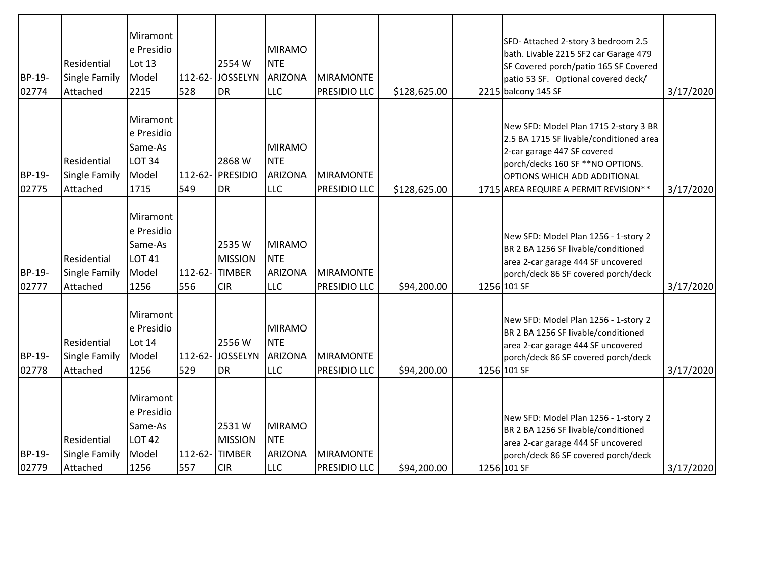| BP-19-<br>02774 | Residential<br><b>Single Family</b><br>Attached | Miramont<br>e Presidio<br>Lot 13<br>Model<br>2215                   | 112-62-<br>528      | 2554 W<br><b>JOSSELYN</b><br><b>DR</b>                 | <b>MIRAMO</b><br><b>NTE</b><br><b>ARIZONA</b><br><b>LLC</b> | <b>MIRAMONTE</b><br>PRESIDIO LLC        | \$128,625.00 | SFD-Attached 2-story 3 bedroom 2.5<br>bath. Livable 2215 SF2 car Garage 479<br>SF Covered porch/patio 165 SF Covered<br>patio 53 SF. Optional covered deck/<br>2215 balcony 145 SF                                           | 3/17/2020 |
|-----------------|-------------------------------------------------|---------------------------------------------------------------------|---------------------|--------------------------------------------------------|-------------------------------------------------------------|-----------------------------------------|--------------|------------------------------------------------------------------------------------------------------------------------------------------------------------------------------------------------------------------------------|-----------|
| BP-19-<br>02775 | Residential<br>Single Family<br>Attached        | Miramont<br>e Presidio<br>Same-As<br><b>LOT 34</b><br>Model<br>1715 | $112 - 62 -$<br>549 | 2868 W<br>PRESIDIO<br><b>DR</b>                        | <b>MIRAMO</b><br><b>NTE</b><br><b>ARIZONA</b><br><b>LLC</b> | <b>MIRAMONTE</b><br><b>PRESIDIO LLC</b> | \$128,625.00 | New SFD: Model Plan 1715 2-story 3 BR<br>2.5 BA 1715 SF livable/conditioned area<br>2-car garage 447 SF covered<br>porch/decks 160 SF **NO OPTIONS.<br>OPTIONS WHICH ADD ADDITIONAL<br>1715 AREA REQUIRE A PERMIT REVISION** | 3/17/2020 |
| BP-19-<br>02777 | Residential<br><b>Single Family</b><br>Attached | Miramont<br>e Presidio<br>Same-As<br><b>LOT 41</b><br>Model<br>1256 | 556                 | 2535W<br><b>MISSION</b><br>112-62-TIMBER<br><b>CIR</b> | <b>MIRAMO</b><br><b>NTE</b><br><b>ARIZONA</b><br><b>LLC</b> | MIRAMONTE<br><b>PRESIDIO LLC</b>        | \$94,200.00  | New SFD: Model Plan 1256 - 1-story 2<br>BR 2 BA 1256 SF livable/conditioned<br>area 2-car garage 444 SF uncovered<br>porch/deck 86 SF covered porch/deck<br>1256 101 SF                                                      | 3/17/2020 |
| BP-19-<br>02778 | Residential<br><b>Single Family</b><br>Attached | Miramont<br>e Presidio<br>Lot 14<br>Model<br>1256                   | 529                 | 2556W<br>112-62- JOSSELYN<br><b>DR</b>                 | <b>MIRAMO</b><br><b>NTE</b><br>ARIZONA<br><b>LLC</b>        | MIRAMONTE<br>PRESIDIO LLC               | \$94,200.00  | New SFD: Model Plan 1256 - 1-story 2<br>BR 2 BA 1256 SF livable/conditioned<br>area 2-car garage 444 SF uncovered<br>porch/deck 86 SF covered porch/deck<br>1256 101 SF                                                      | 3/17/2020 |
| BP-19-<br>02779 | Residential<br><b>Single Family</b><br>Attached | Miramont<br>e Presidio<br>Same-As<br><b>LOT 42</b><br>Model<br>1256 | 557                 | 2531W<br><b>MISSION</b><br>112-62-TIMBER<br><b>CIR</b> | <b>MIRAMO</b><br><b>NTE</b><br><b>ARIZONA</b><br><b>LLC</b> | MIRAMONTE<br><b>PRESIDIO LLC</b>        | \$94,200.00  | New SFD: Model Plan 1256 - 1-story 2<br>BR 2 BA 1256 SF livable/conditioned<br>area 2-car garage 444 SF uncovered<br>porch/deck 86 SF covered porch/deck<br>1256 101 SF                                                      | 3/17/2020 |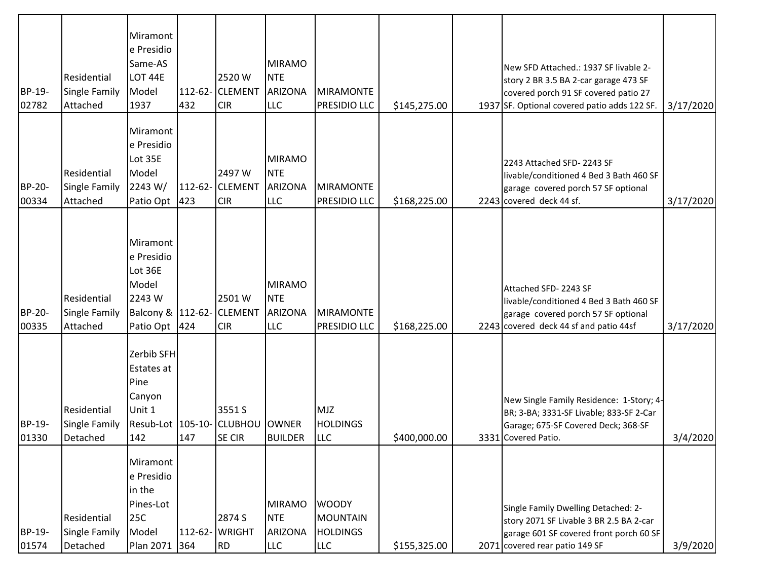| BP-19-<br>02782 | Residential<br>Single Family<br>Attached        | Miramont<br>e Presidio<br>Same-AS<br>LOT 44E<br>Model<br>1937                                  | 432 | 2520W<br>112-62- CLEMENT<br><b>CIR</b>    | <b>MIRAMO</b><br><b>NTE</b><br><b>ARIZONA</b><br>LLC        | <b>MIRAMONTE</b><br><b>PRESIDIO LLC</b>                   | \$145,275.00 | New SFD Attached.: 1937 SF livable 2-<br>story 2 BR 3.5 BA 2-car garage 473 SF<br>covered porch 91 SF covered patio 27<br>1937 SF. Optional covered patio adds 122 SF. | 3/17/2020 |
|-----------------|-------------------------------------------------|------------------------------------------------------------------------------------------------|-----|-------------------------------------------|-------------------------------------------------------------|-----------------------------------------------------------|--------------|------------------------------------------------------------------------------------------------------------------------------------------------------------------------|-----------|
| BP-20-<br>00334 | <b>Residential</b><br>Single Family<br>Attached | Miramont<br>e Presidio<br>Lot 35E<br>Model<br>2243 W/<br>Patio Opt                             | 423 | 2497 W<br>112-62- CLEMENT<br><b>CIR</b>   | <b>MIRAMO</b><br><b>NTE</b><br><b>ARIZONA</b><br><b>LLC</b> | <b>MIRAMONTE</b><br><b>PRESIDIO LLC</b>                   | \$168,225.00 | 2243 Attached SFD-2243 SF<br>livable/conditioned 4 Bed 3 Bath 460 SF<br>garage covered porch 57 SF optional<br>2243 covered deck 44 sf.                                | 3/17/2020 |
| BP-20-<br>00335 | Residential<br>Single Family<br>Attached        | Miramont<br>e Presidio<br>Lot 36E<br>Model<br>2243 W<br>Balcony & 112-62- CLEMENT<br>Patio Opt | 424 | 2501 W<br><b>CIR</b>                      | <b>MIRAMO</b><br><b>NTE</b><br>ARIZONA<br>LLC               | <b>MIRAMONTE</b><br>PRESIDIO LLC                          | \$168,225.00 | Attached SFD-2243 SF<br>livable/conditioned 4 Bed 3 Bath 460 SF<br>garage covered porch 57 SF optional<br>2243 covered deck 44 sf and patio 44sf                       | 3/17/2020 |
| BP-19-<br>01330 | Residential<br>Single Family<br>Detached        | Zerbib SFH<br>Estates at<br>Pine<br>Canyon<br>Unit 1<br>Resub-Lot 105-10-<br>142               | 147 | 3551 S<br><b>CLUBHOU</b><br><b>SE CIR</b> | <b>OWNER</b><br><b>BUILDER</b>                              | <b>MJZ</b><br><b>HOLDINGS</b><br><b>LLC</b>               | \$400,000.00 | New Single Family Residence: 1-Story; 4-<br>BR; 3-BA; 3331-SF Livable; 833-SF 2-Car<br>Garage; 675-SF Covered Deck; 368-SF<br>3331 Covered Patio.                      | 3/4/2020  |
| BP-19-<br>01574 | Residential<br>Single Family<br>Detached        | Miramont<br>e Presidio<br>in the<br>Pines-Lot<br><b>25C</b><br>Model<br>Plan 2071              | 364 | 2874 S<br>112-62- WRIGHT<br>RD            | <b>MIRAMO</b><br><b>NTE</b><br><b>ARIZONA</b><br><b>LLC</b> | <b>WOODY</b><br>MOUNTAIN<br><b>HOLDINGS</b><br><b>LLC</b> | \$155,325.00 | Single Family Dwelling Detached: 2-<br>story 2071 SF Livable 3 BR 2.5 BA 2-car<br>garage 601 SF covered front porch 60 SF<br>2071 covered rear patio 149 SF            | 3/9/2020  |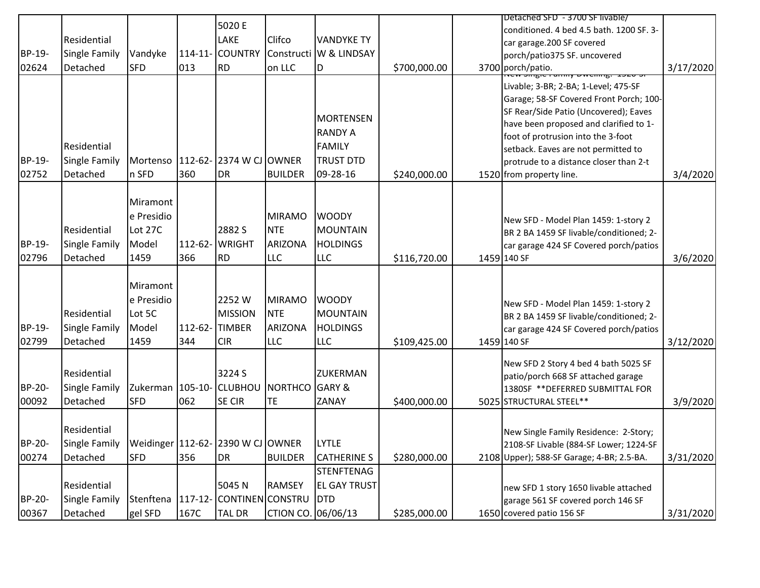| BP-19-<br>02624 | Residential<br>Single Family<br>Detached                                           | Vandyke<br><b>SFD</b>                              | 013            | 5020 E<br><b>LAKE</b><br>114-11- COUNTRY<br><b>RD</b>                | Clifco<br>on LLC                                            | <b>VANDYKE TY</b><br>Constructi W & LINDSAY<br>ID                                   | \$700,000.00 | Detached SFD - 3700 SF livable/<br>conditioned. 4 bed 4.5 bath. 1200 SF. 3-<br>car garage.200 SF covered<br>porch/patio375 SF. uncovered<br>3700 porch/patio.                                                                                                                                                         | 3/17/2020 |
|-----------------|------------------------------------------------------------------------------------|----------------------------------------------------|----------------|----------------------------------------------------------------------|-------------------------------------------------------------|-------------------------------------------------------------------------------------|--------------|-----------------------------------------------------------------------------------------------------------------------------------------------------------------------------------------------------------------------------------------------------------------------------------------------------------------------|-----------|
| BP-19-<br>02752 | Residential<br><b>Single Family</b><br>Detached                                    | n SFD                                              | 360            | Mortenso   112-62- 2374 W CJ OWNER<br><b>DR</b>                      | <b>BUILDER</b>                                              | <b>MORTENSEN</b><br><b>RANDY A</b><br><b>FAMILY</b><br><b>TRUST DTD</b><br>09-28-16 | \$240,000.00 | Livable; 3-BR; 2-BA; 1-Level; 475-SF<br>Garage; 58-SF Covered Front Porch; 100-<br>SF Rear/Side Patio (Uncovered); Eaves<br>have been proposed and clarified to 1-<br>foot of protrusion into the 3-foot<br>setback. Eaves are not permitted to<br>protrude to a distance closer than 2-t<br>1520 from property line. | 3/4/2020  |
| BP-19-<br>02796 | Residential<br>Single Family<br>Detached                                           | Miramont<br>e Presidio<br>Lot 27C<br>Model<br>1459 | 366            | 2882 S<br>112-62- WRIGHT<br><b>RD</b>                                | <b>MIRAMO</b><br><b>NTE</b><br><b>ARIZONA</b><br><b>LLC</b> | <b>WOODY</b><br><b>MOUNTAIN</b><br><b>HOLDINGS</b><br><b>LLC</b>                    | \$116,720.00 | New SFD - Model Plan 1459: 1-story 2<br>BR 2 BA 1459 SF livable/conditioned; 2-<br>car garage 424 SF Covered porch/patios<br>1459 140 SF                                                                                                                                                                              | 3/6/2020  |
| BP-19-<br>02799 | Residential<br><b>Single Family</b><br>Detached                                    | Miramont<br>e Presidio<br>Lot 5C<br>Model<br>1459  | 112-62-<br>344 | 2252W<br><b>MISSION</b><br><b>TIMBER</b><br><b>CIR</b>               | <b>MIRAMO</b><br><b>NTE</b><br><b>ARIZONA</b><br><b>LLC</b> | <b>WOODY</b><br><b>MOUNTAIN</b><br><b>HOLDINGS</b><br><b>LLC</b>                    | \$109,425.00 | New SFD - Model Plan 1459: 1-story 2<br>BR 2 BA 1459 SF livable/conditioned; 2-<br>car garage 424 SF Covered porch/patios<br>1459 140 SF                                                                                                                                                                              | 3/12/2020 |
| BP-20-<br>00092 | Residential<br>Single Family<br>Detached                                           | Zukerman   105-10- CLUBHOU<br><b>SFD</b>           | 062            | 3224 S<br><b>SE CIR</b>                                              | <b>NORTHCO GARY &amp;</b><br><b>TE</b>                      | <b>ZUKERMAN</b><br>ZANAY                                                            | \$400,000.00 | New SFD 2 Story 4 bed 4 bath 5025 SF<br>patio/porch 668 SF attached garage<br>1380SF ** DEFERRED SUBMITTAL FOR<br>5025 STRUCTURAL STEEL**                                                                                                                                                                             | 3/9/2020  |
| BP-20-<br>00274 | Residential<br>Single Family   Weidinger   112-62-   2390 W CJ   OWNER<br>Detached | <b>SFD</b>                                         | 356            | DR.                                                                  | <b>BUILDER</b>                                              | <b>LYTLE</b><br><b>CATHERINE S</b>                                                  | \$280,000.00 | New Single Family Residence: 2-Story;<br>2108-SF Livable (884-SF Lower; 1224-SF<br>2108 Upper); 588-SF Garage; 4-BR; 2.5-BA.                                                                                                                                                                                          | 3/31/2020 |
| BP-20-<br>00367 | Residential<br><b>Single Family</b><br>Detached                                    | gel SFD                                            | 167C           | 5045N<br>Stenftena   117-12- CONTINEN CONSTRU   DTD<br><b>TAL DR</b> | <b>RAMSEY</b><br>CTION CO. 06/06/13                         | <b>STENFTENAG</b><br><b>EL GAY TRUST</b>                                            | \$285,000.00 | new SFD 1 story 1650 livable attached<br>garage 561 SF covered porch 146 SF<br>1650 covered patio 156 SF                                                                                                                                                                                                              | 3/31/2020 |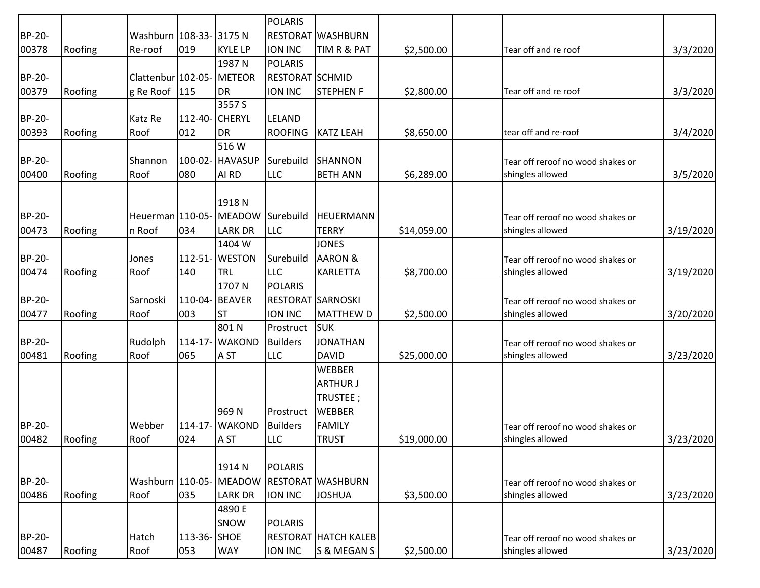|        |         |                           |                |                   | <b>POLARIS</b>           |                             |             |                                   |           |
|--------|---------|---------------------------|----------------|-------------------|--------------------------|-----------------------------|-------------|-----------------------------------|-----------|
| BP-20- |         | Washburn   108-33- 3175 N |                |                   |                          | <b>RESTORAT WASHBURN</b>    |             |                                   |           |
| 00378  | Roofing | Re-roof                   | 019            | <b>KYLE LP</b>    | <b>ION INC</b>           | TIM R & PAT                 | \$2,500.00  | Tear off and re roof              | 3/3/2020  |
|        |         |                           |                | 1987 N            | <b>POLARIS</b>           |                             |             |                                   |           |
| BP-20- |         | Clattenbur 102-05-        |                | METEOR            | <b>RESTORAT SCHMID</b>   |                             |             |                                   |           |
| 00379  | Roofing | g Re Roof 115             |                | <b>DR</b>         | ION INC                  | <b>STEPHEN F</b>            | \$2,800.00  | Tear off and re roof              | 3/3/2020  |
|        |         |                           |                | 3557 S            |                          |                             |             |                                   |           |
| BP-20- |         | Katz Re                   | 112-40-        | <b>CHERYL</b>     | LELAND                   |                             |             |                                   |           |
| 00393  | Roofing | Roof                      | 012            | <b>DR</b>         | <b>ROOFING</b>           | <b>KATZ LEAH</b>            | \$8,650.00  | tear off and re-roof              | 3/4/2020  |
|        |         |                           |                | 516W              |                          |                             |             |                                   |           |
| BP-20- |         | Shannon                   |                | 100-02- HAVASUP   | Surebuild                | SHANNON                     |             | Tear off reroof no wood shakes or |           |
| 00400  | Roofing | Roof                      | 080            | AI RD             | <b>LLC</b>               | <b>BETH ANN</b>             | \$6,289.00  | shingles allowed                  | 3/5/2020  |
|        |         |                           |                |                   |                          |                             |             |                                   |           |
|        |         |                           |                | 1918 <sub>N</sub> |                          |                             |             |                                   |           |
| BP-20- |         | Heuerman 110-05-          |                | MEADOW Surebuild  |                          | <b>HEUERMANN</b>            |             | Tear off reroof no wood shakes or |           |
| 00473  | Roofing | n Roof                    | 034            | <b>LARK DR</b>    | <b>LLC</b>               | <b>TERRY</b>                | \$14,059.00 | shingles allowed                  | 3/19/2020 |
|        |         |                           |                | 1404 W            |                          | <b>JONES</b>                |             |                                   |           |
| BP-20- |         | Jones                     | $112 - 51 -$   | <b>WESTON</b>     | Surebuild                | <b>AARON &amp;</b>          |             | Tear off reroof no wood shakes or |           |
| 00474  | Roofing | Roof                      | 140            | <b>TRL</b>        | <b>LLC</b>               | <b>KARLETTA</b>             | \$8,700.00  | shingles allowed                  | 3/19/2020 |
|        |         |                           |                | 1707N             | <b>POLARIS</b>           |                             |             |                                   |           |
| BP-20- |         | Sarnoski                  | 110-04- BEAVER |                   | <b>RESTORAT SARNOSKI</b> |                             |             | Tear off reroof no wood shakes or |           |
| 00477  | Roofing | Roof                      | 003            | <b>ST</b>         | <b>ION INC</b>           | <b>MATTHEW D</b>            | \$2,500.00  | shingles allowed                  | 3/20/2020 |
|        |         |                           |                | 801N              | Prostruct                | <b>I</b> suk                |             |                                   |           |
| BP-20- |         | Rudolph                   |                | 114-17- WAKOND    | <b>Builders</b>          | <b>JONATHAN</b>             |             | Tear off reroof no wood shakes or |           |
| 00481  | Roofing | Roof                      | 065            | A ST              | <b>LLC</b>               | <b>DAVID</b>                | \$25,000.00 | shingles allowed                  | 3/23/2020 |
|        |         |                           |                |                   |                          | <b>WEBBER</b>               |             |                                   |           |
|        |         |                           |                |                   |                          | <b>ARTHUR J</b>             |             |                                   |           |
|        |         |                           |                |                   |                          | TRUSTEE;                    |             |                                   |           |
|        |         |                           |                | 969N              | Prostruct                | <b>WEBBER</b>               |             |                                   |           |
| BP-20- |         | Webber                    | $114 - 17 -$   | <b>WAKOND</b>     | <b>Builders</b>          | <b>FAMILY</b>               |             | Tear off reroof no wood shakes or |           |
| 00482  | Roofing | Roof                      | 024            | A <sub>ST</sub>   | <b>LLC</b>               | <b>TRUST</b>                | \$19,000.00 | shingles allowed                  | 3/23/2020 |
|        |         |                           |                |                   |                          |                             |             |                                   |           |
|        |         |                           |                | 1914 N            | <b>POLARIS</b>           |                             |             |                                   |           |
| BP-20- |         | Washburn 110-05-          |                | <b>MEADOW</b>     |                          | <b>RESTORAT WASHBURN</b>    |             | Tear off reroof no wood shakes or |           |
| 00486  | Roofing | Roof                      | 035            | <b>LARK DR</b>    | <b>ION INC</b>           | <b>JOSHUA</b>               | \$3,500.00  | shingles allowed                  | 3/23/2020 |
|        |         |                           |                | 4890 E            |                          |                             |             |                                   |           |
|        |         |                           |                | SNOW              | <b>POLARIS</b>           |                             |             |                                   |           |
| BP-20- |         | Hatch                     | 113-36- SHOE   |                   |                          | <b>RESTORAT HATCH KALEB</b> |             | Tear off reroof no wood shakes or |           |
| 00487  | Roofing | Roof                      | 053            | <b>WAY</b>        | ION INC                  | S & MEGAN S                 | \$2,500.00  | shingles allowed                  | 3/23/2020 |